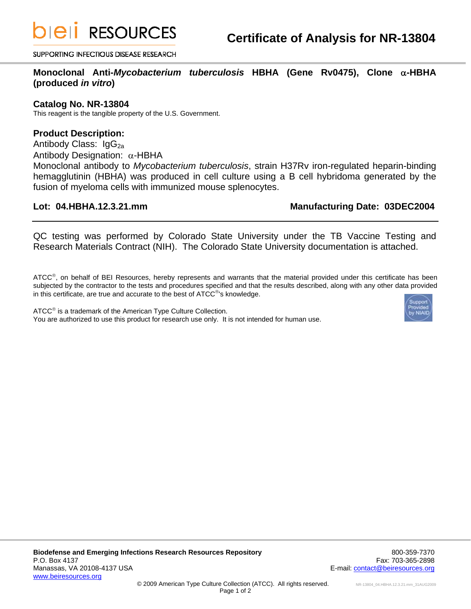**DIEII RESOURCES** 

SUPPORTING INFECTIOUS DISEASE RESEARCH

**Monoclonal Anti-***Mycobacterium tuberculosis* **HBHA (Gene Rv0475), Clone** α**-HBHA (produced** *in vitro***)** 

### **Catalog No. NR-13804**

This reagent is the tangible property of the U.S. Government.

## **Product Description:**

Antibody Class: IgG<sub>2a</sub> Antibody Designation: α-HBHA Monoclonal antibody to *Mycobacterium tuberculosis*, strain H37Rv iron-regulated heparin-binding hemagglutinin (HBHA) was produced in cell culture using a B cell hybridoma generated by the fusion of myeloma cells with immunized mouse splenocytes.

## Lot: 04.HBHA.12.3.21.mm Manufacturing Date: 03DEC2004

QC testing was performed by Colorado State University under the TB Vaccine Testing and Research Materials Contract (NIH). The Colorado State University documentation is attached.

ATCC<sup>®</sup>, on behalf of BEI Resources, hereby represents and warrants that the material provided under this certificate has been subjected by the contractor to the tests and procedures specified and that the results described, along with any other data provided in this certificate, are true and accurate to the best of ATCC®'s knowledge.

ATCC<sup>®</sup> is a trademark of the American Type Culture Collection. You are authorized to use this product for research use only. It is not intended for human use.